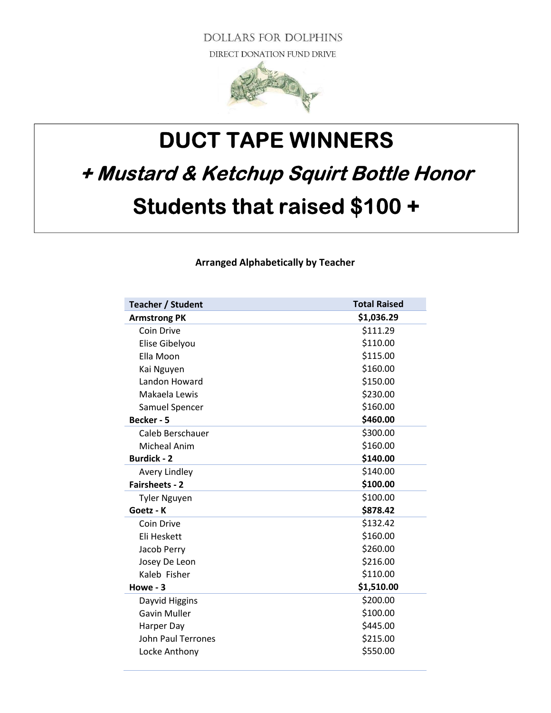**DOLLARS FOR DOLPHINS** DIRECT DONATION FUND DRIVE



## DUCT TAPE WINNERS + Mustard & Ketchup Squirt Bottle Honor Students that raised \$100 +

Arranged Alphabetically by Teacher

| <b>Teacher / Student</b>  | <b>Total Raised</b> |
|---------------------------|---------------------|
| <b>Armstrong PK</b>       | \$1,036.29          |
| Coin Drive                | \$111.29            |
| Elise Gibelyou            | \$110.00            |
| Ella Moon                 | \$115.00            |
| Kai Nguyen                | \$160.00            |
| Landon Howard             | \$150.00            |
| Makaela Lewis             | \$230.00            |
| Samuel Spencer            | \$160.00            |
| Becker - 5                | \$460.00            |
| Caleb Berschauer          | \$300.00            |
| <b>Micheal Anim</b>       | \$160.00            |
| <b>Burdick - 2</b>        | \$140.00            |
| Avery Lindley             | \$140.00            |
| <b>Fairsheets - 2</b>     | \$100.00            |
| <b>Tyler Nguyen</b>       | \$100.00            |
| Goetz - K                 | \$878.42            |
| Coin Drive                | \$132.42            |
| Eli Heskett               | \$160.00            |
| Jacob Perry               | \$260.00            |
| Josey De Leon             | \$216.00            |
| Kaleb Fisher              | \$110.00            |
| Howe - 3                  | \$1,510.00          |
| Dayvid Higgins            | \$200.00            |
| <b>Gavin Muller</b>       | \$100.00            |
| Harper Day                | \$445.00            |
| <b>John Paul Terrones</b> | \$215.00            |
| Locke Anthony             | \$550.00            |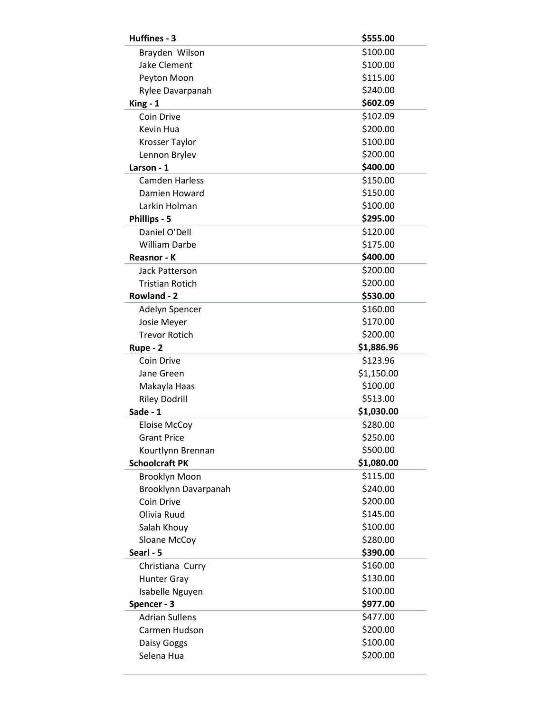| Huffines - 3           | \$555.00   |
|------------------------|------------|
| Brayden Wilson         | \$100.00   |
| Jake Clement           | \$100.00   |
| Peyton Moon            | \$115.00   |
| Rylee Davarpanah       | \$240.00   |
| King - 1               | \$602.09   |
| Coin Drive             | \$102.09   |
| Kevin Hua              | \$200.00   |
| Krosser Taylor         | \$100.00   |
| Lennon Brylev          | \$200.00   |
| Larson - 1             | \$400.00   |
| <b>Camden Harless</b>  | \$150.00   |
| Damien Howard          | \$150.00   |
| Larkin Holman          | \$100.00   |
| Phillips - 5           | \$295.00   |
| Daniel O'Dell          | \$120.00   |
| <b>William Darbe</b>   | \$175.00   |
| Reasnor - K            | \$400.00   |
| <b>Jack Patterson</b>  | \$200.00   |
| <b>Tristian Rotich</b> | \$200.00   |
| Rowland - 2            | \$530.00   |
| Adelyn Spencer         | \$160.00   |
| Josie Meyer            | \$170.00   |
| <b>Trevor Rotich</b>   | \$200.00   |
| Rupe - 2               | \$1,886.96 |
| Coin Drive             | \$123.96   |
| Jane Green             | \$1,150.00 |
| Makayla Haas           | \$100.00   |
| <b>Riley Dodrill</b>   | \$513.00   |
| Sade - 1               | \$1,030.00 |
| <b>Eloise McCoy</b>    | \$280.00   |
| <b>Grant Price</b>     | \$250.00   |
| Kourtlynn Brennan      | \$500.00   |
| <b>Schoolcraft PK</b>  | \$1,080.00 |
| <b>Brooklyn Moon</b>   | \$115.00   |
| Brooklynn Davarpanah   | \$240.00   |
| Coin Drive             | \$200.00   |
| Olivia Ruud            | \$145.00   |
| Salah Khouy            | \$100.00   |
| Sloane McCoy           | \$280.00   |
| Searl - 5              | \$390.00   |
| Christiana Curry       | \$160.00   |
| <b>Hunter Gray</b>     | \$130.00   |
| Isabelle Nguyen        | \$100.00   |
| Spencer - 3            | \$977.00   |
| <b>Adrian Sullens</b>  | \$477.00   |
| Carmen Hudson          | \$200.00   |
| Daisy Goggs            | \$100.00   |
| Selena Hua             | \$200.00   |
|                        |            |